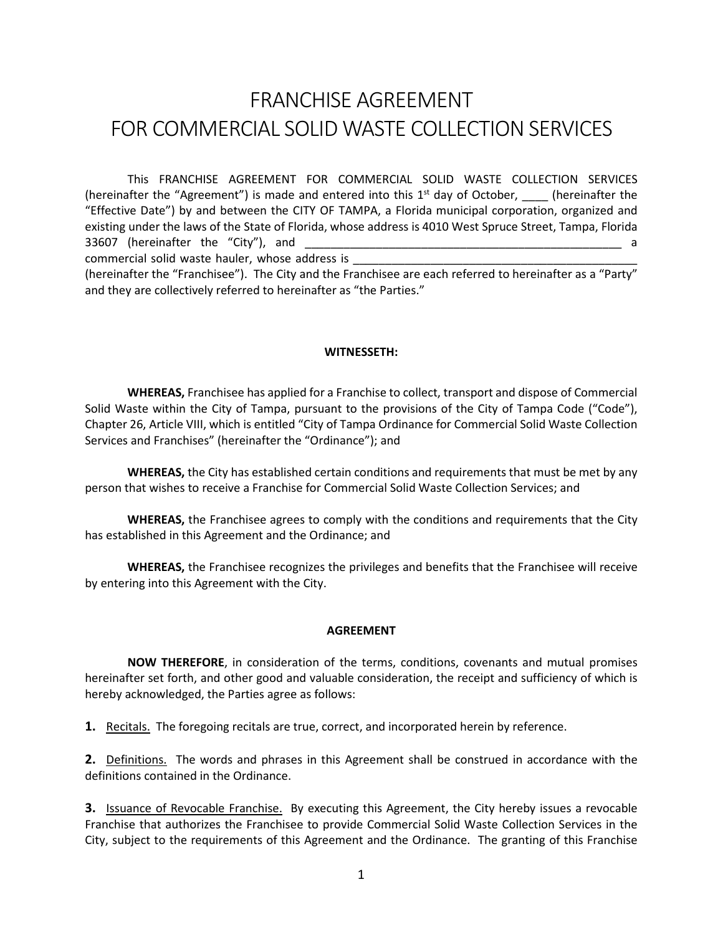# FRANCHISE AGREEMENT FOR COMMERCIAL SOLID WASTE COLLECTION SERVICES

This FRANCHISE AGREEMENT FOR COMMERCIAL SOLID WASTE COLLECTION SERVICES (hereinafter the "Agreement") is made and entered into this  $1<sup>st</sup>$  day of October, \_\_\_\_\_ (hereinafter the "Effective Date") by and between the CITY OF TAMPA, a Florida municipal corporation, organized and existing under the laws of the State of Florida, whose address is 4010 West Spruce Street, Tampa, Florida 33607 (hereinafter the "City"), and \_\_\_\_\_\_\_\_\_\_\_\_\_\_\_\_\_\_\_\_\_\_\_\_\_\_\_\_\_\_\_\_\_\_\_\_\_\_\_\_\_\_\_\_\_\_\_\_\_ a commercial solid waste hauler, whose address is

(hereinafter the "Franchisee"). The City and the Franchisee are each referred to hereinafter as a "Party" and they are collectively referred to hereinafter as "the Parties."

#### **WITNESSETH:**

**WHEREAS,** Franchisee has applied for a Franchise to collect, transport and dispose of Commercial Solid Waste within the City of Tampa, pursuant to the provisions of the City of Tampa Code ("Code"), Chapter 26, Article VIII, which is entitled "City of Tampa Ordinance for Commercial Solid Waste Collection Services and Franchises" (hereinafter the "Ordinance"); and

**WHEREAS,** the City has established certain conditions and requirements that must be met by any person that wishes to receive a Franchise for Commercial Solid Waste Collection Services; and

**WHEREAS,** the Franchisee agrees to comply with the conditions and requirements that the City has established in this Agreement and the Ordinance; and

**WHEREAS,** the Franchisee recognizes the privileges and benefits that the Franchisee will receive by entering into this Agreement with the City.

#### **AGREEMENT**

**NOW THEREFORE**, in consideration of the terms, conditions, covenants and mutual promises hereinafter set forth, and other good and valuable consideration, the receipt and sufficiency of which is hereby acknowledged, the Parties agree as follows:

**1.** Recitals. The foregoing recitals are true, correct, and incorporated herein by reference.

**2.** Definitions. The words and phrases in this Agreement shall be construed in accordance with the definitions contained in the Ordinance.

**3.** Issuance of Revocable Franchise. By executing this Agreement, the City hereby issues a revocable Franchise that authorizes the Franchisee to provide Commercial Solid Waste Collection Services in the City, subject to the requirements of this Agreement and the Ordinance. The granting of this Franchise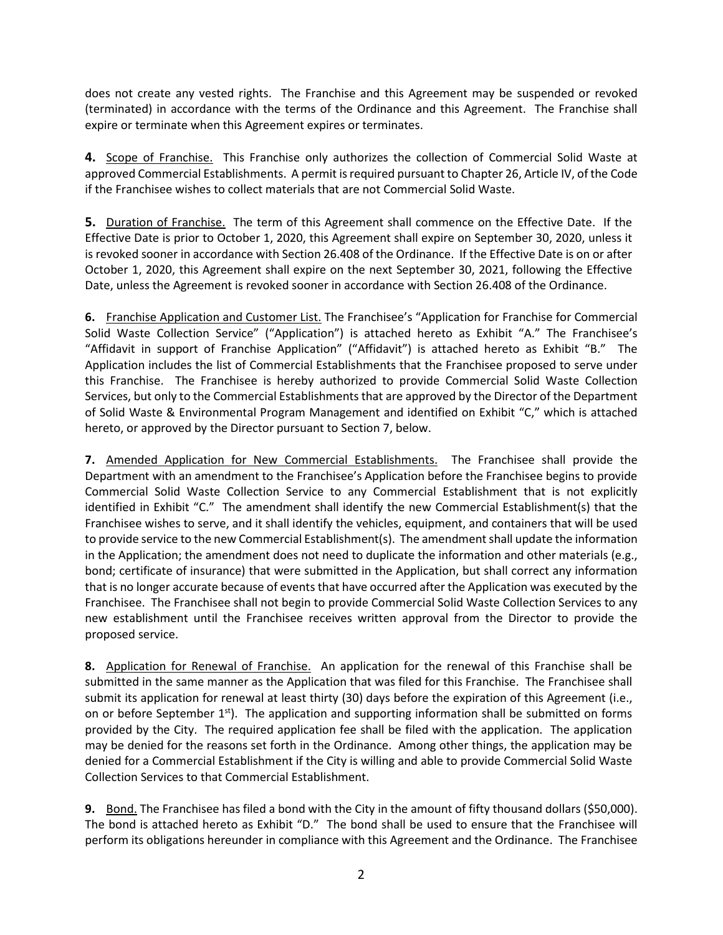does not create any vested rights. The Franchise and this Agreement may be suspended or revoked (terminated) in accordance with the terms of the Ordinance and this Agreement. The Franchise shall expire or terminate when this Agreement expires or terminates.

**4.** Scope of Franchise. This Franchise only authorizes the collection of Commercial Solid Waste at approved Commercial Establishments. A permit is required pursuant to Chapter 26, Article IV, of the Code if the Franchisee wishes to collect materials that are not Commercial Solid Waste.

**5.** Duration of Franchise. The term of this Agreement shall commence on the Effective Date. If the Effective Date is prior to October 1, 2020, this Agreement shall expire on September 30, 2020, unless it is revoked sooner in accordance with Section 26.408 of the Ordinance. If the Effective Date is on or after October 1, 2020, this Agreement shall expire on the next September 30, 2021, following the Effective Date, unless the Agreement is revoked sooner in accordance with Section 26.408 of the Ordinance.

**6.** Franchise Application and Customer List. The Franchisee's "Application for Franchise for Commercial Solid Waste Collection Service" ("Application") is attached hereto as Exhibit "A." The Franchisee's "Affidavit in support of Franchise Application" ("Affidavit") is attached hereto as Exhibit "B." The Application includes the list of Commercial Establishments that the Franchisee proposed to serve under this Franchise. The Franchisee is hereby authorized to provide Commercial Solid Waste Collection Services, but only to the Commercial Establishments that are approved by the Director of the Department of Solid Waste & Environmental Program Management and identified on Exhibit "C," which is attached hereto, or approved by the Director pursuant to Section 7, below.

**7.** Amended Application for New Commercial Establishments. The Franchisee shall provide the Department with an amendment to the Franchisee's Application before the Franchisee begins to provide Commercial Solid Waste Collection Service to any Commercial Establishment that is not explicitly identified in Exhibit "C." The amendment shall identify the new Commercial Establishment(s) that the Franchisee wishes to serve, and it shall identify the vehicles, equipment, and containers that will be used to provide service to the new Commercial Establishment(s). The amendment shall update the information in the Application; the amendment does not need to duplicate the information and other materials (e.g., bond; certificate of insurance) that were submitted in the Application, but shall correct any information that is no longer accurate because of events that have occurred after the Application was executed by the Franchisee. The Franchisee shall not begin to provide Commercial Solid Waste Collection Services to any new establishment until the Franchisee receives written approval from the Director to provide the proposed service.

**8.** Application for Renewal of Franchise. An application for the renewal of this Franchise shall be submitted in the same manner as the Application that was filed for this Franchise. The Franchisee shall submit its application for renewal at least thirty (30) days before the expiration of this Agreement (i.e., on or before September  $1<sup>st</sup>$ ). The application and supporting information shall be submitted on forms provided by the City. The required application fee shall be filed with the application. The application may be denied for the reasons set forth in the Ordinance. Among other things, the application may be denied for a Commercial Establishment if the City is willing and able to provide Commercial Solid Waste Collection Services to that Commercial Establishment.

**9.** Bond. The Franchisee has filed a bond with the City in the amount of fifty thousand dollars (\$50,000). The bond is attached hereto as Exhibit "D." The bond shall be used to ensure that the Franchisee will perform its obligations hereunder in compliance with this Agreement and the Ordinance. The Franchisee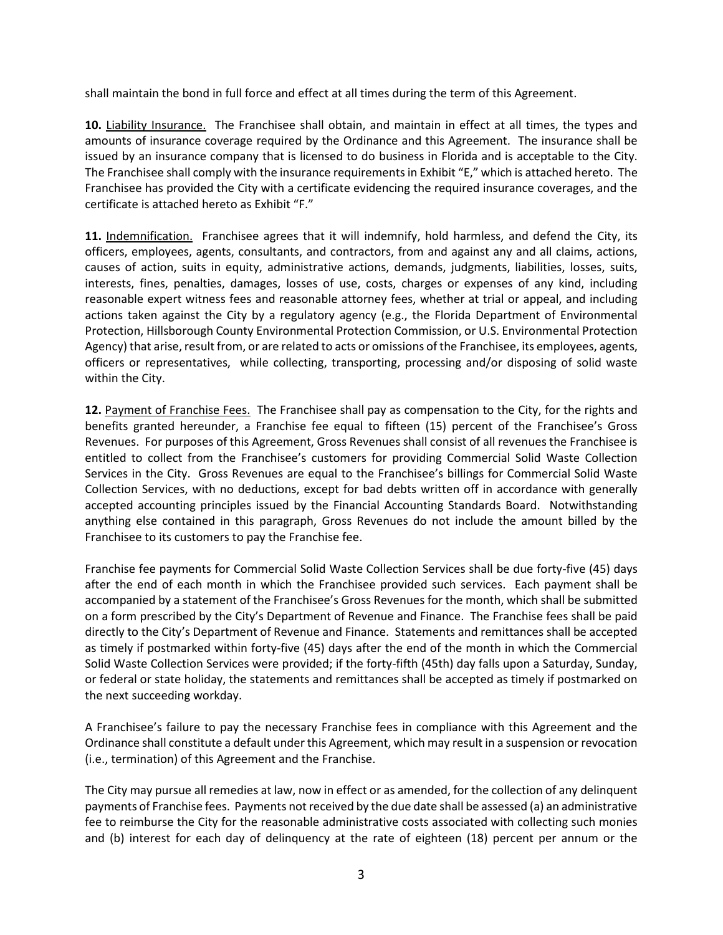shall maintain the bond in full force and effect at all times during the term of this Agreement.

**10.** Liability Insurance. The Franchisee shall obtain, and maintain in effect at all times, the types and amounts of insurance coverage required by the Ordinance and this Agreement. The insurance shall be issued by an insurance company that is licensed to do business in Florida and is acceptable to the City. The Franchisee shall comply with the insurance requirements in Exhibit "E," which is attached hereto. The Franchisee has provided the City with a certificate evidencing the required insurance coverages, and the certificate is attached hereto as Exhibit "F."

**11.** Indemnification. Franchisee agrees that it will indemnify, hold harmless, and defend the City, its officers, employees, agents, consultants, and contractors, from and against any and all claims, actions, causes of action, suits in equity, administrative actions, demands, judgments, liabilities, losses, suits, interests, fines, penalties, damages, losses of use, costs, charges or expenses of any kind, including reasonable expert witness fees and reasonable attorney fees, whether at trial or appeal, and including actions taken against the City by a regulatory agency (e.g., the Florida Department of Environmental Protection, Hillsborough County Environmental Protection Commission, or U.S. Environmental Protection Agency) that arise, result from, or are related to acts or omissions of the Franchisee, its employees, agents, officers or representatives, while collecting, transporting, processing and/or disposing of solid waste within the City.

**12.** Payment of Franchise Fees. The Franchisee shall pay as compensation to the City, for the rights and benefits granted hereunder, a Franchise fee equal to fifteen (15) percent of the Franchisee's Gross Revenues. For purposes of this Agreement, Gross Revenues shall consist of all revenues the Franchisee is entitled to collect from the Franchisee's customers for providing Commercial Solid Waste Collection Services in the City. Gross Revenues are equal to the Franchisee's billings for Commercial Solid Waste Collection Services, with no deductions, except for bad debts written off in accordance with generally accepted accounting principles issued by the Financial Accounting Standards Board. Notwithstanding anything else contained in this paragraph, Gross Revenues do not include the amount billed by the Franchisee to its customers to pay the Franchise fee.

Franchise fee payments for Commercial Solid Waste Collection Services shall be due forty-five (45) days after the end of each month in which the Franchisee provided such services. Each payment shall be accompanied by a statement of the Franchisee's Gross Revenues for the month, which shall be submitted on a form prescribed by the City's Department of Revenue and Finance. The Franchise fees shall be paid directly to the City's Department of Revenue and Finance. Statements and remittances shall be accepted as timely if postmarked within forty-five (45) days after the end of the month in which the Commercial Solid Waste Collection Services were provided; if the forty-fifth (45th) day falls upon a Saturday, Sunday, or federal or state holiday, the statements and remittances shall be accepted as timely if postmarked on the next succeeding workday.

A Franchisee's failure to pay the necessary Franchise fees in compliance with this Agreement and the Ordinance shall constitute a default under this Agreement, which may result in a suspension or revocation (i.e., termination) of this Agreement and the Franchise.

The City may pursue all remedies at law, now in effect or as amended, for the collection of any delinquent payments of Franchise fees. Payments not received by the due date shall be assessed (a) an administrative fee to reimburse the City for the reasonable administrative costs associated with collecting such monies and (b) interest for each day of delinquency at the rate of eighteen (18) percent per annum or the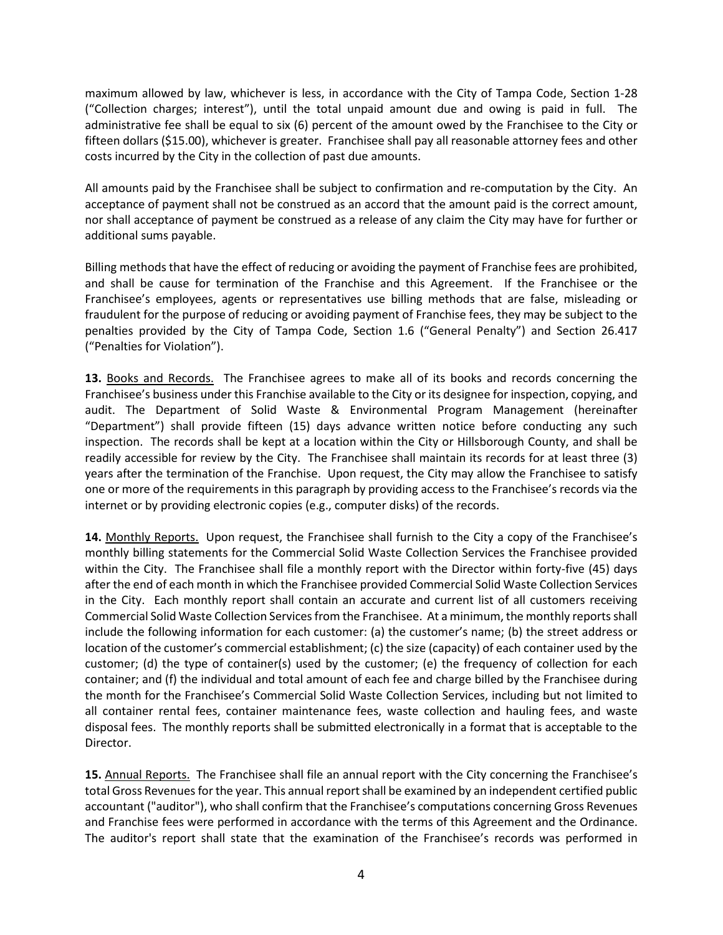maximum allowed by law, whichever is less, in accordance with the City of Tampa Code, Section 1-28 ("Collection charges; interest"), until the total unpaid amount due and owing is paid in full. The administrative fee shall be equal to six (6) percent of the amount owed by the Franchisee to the City or fifteen dollars (\$15.00), whichever is greater. Franchisee shall pay all reasonable attorney fees and other costs incurred by the City in the collection of past due amounts.

All amounts paid by the Franchisee shall be subject to confirmation and re-computation by the City. An acceptance of payment shall not be construed as an accord that the amount paid is the correct amount, nor shall acceptance of payment be construed as a release of any claim the City may have for further or additional sums payable.

Billing methods that have the effect of reducing or avoiding the payment of Franchise fees are prohibited, and shall be cause for termination of the Franchise and this Agreement. If the Franchisee or the Franchisee's employees, agents or representatives use billing methods that are false, misleading or fraudulent for the purpose of reducing or avoiding payment of Franchise fees, they may be subject to the penalties provided by the City of Tampa Code, Section 1.6 ("General Penalty") and Section 26.417 ("Penalties for Violation").

**13.** Books and Records. The Franchisee agrees to make all of its books and records concerning the Franchisee's business under this Franchise available to the City or its designee for inspection, copying, and audit. The Department of Solid Waste & Environmental Program Management (hereinafter "Department") shall provide fifteen (15) days advance written notice before conducting any such inspection. The records shall be kept at a location within the City or Hillsborough County, and shall be readily accessible for review by the City. The Franchisee shall maintain its records for at least three (3) years after the termination of the Franchise. Upon request, the City may allow the Franchisee to satisfy one or more of the requirements in this paragraph by providing access to the Franchisee's records via the internet or by providing electronic copies (e.g., computer disks) of the records.

**14.** Monthly Reports.Upon request, the Franchisee shall furnish to the City a copy of the Franchisee's monthly billing statements for the Commercial Solid Waste Collection Services the Franchisee provided within the City. The Franchisee shall file a monthly report with the Director within forty-five (45) days after the end of each month in which the Franchisee provided Commercial Solid Waste Collection Services in the City. Each monthly report shall contain an accurate and current list of all customers receiving Commercial Solid Waste Collection Services from the Franchisee. At a minimum, the monthly reports shall include the following information for each customer: (a) the customer's name; (b) the street address or location of the customer's commercial establishment; (c) the size (capacity) of each container used by the customer; (d) the type of container(s) used by the customer; (e) the frequency of collection for each container; and (f) the individual and total amount of each fee and charge billed by the Franchisee during the month for the Franchisee's Commercial Solid Waste Collection Services, including but not limited to all container rental fees, container maintenance fees, waste collection and hauling fees, and waste disposal fees. The monthly reports shall be submitted electronically in a format that is acceptable to the Director.

**15.** Annual Reports.The Franchisee shall file an annual report with the City concerning the Franchisee's total Gross Revenues for the year. This annual report shall be examined by an independent certified public accountant ("auditor"), who shall confirm that the Franchisee's computations concerning Gross Revenues and Franchise fees were performed in accordance with the terms of this Agreement and the Ordinance. The auditor's report shall state that the examination of the Franchisee's records was performed in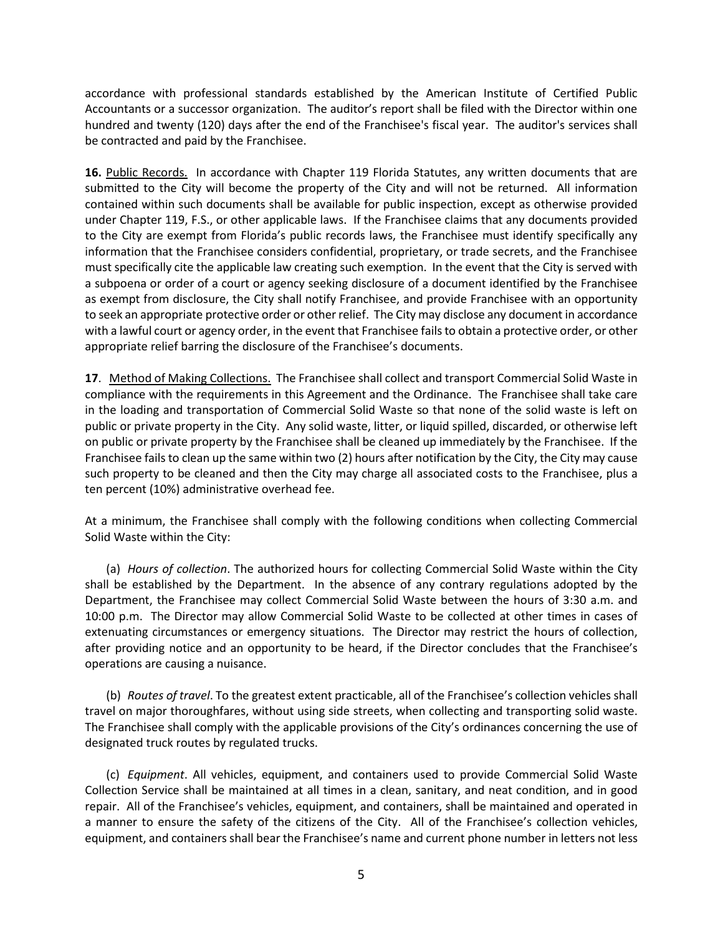accordance with professional standards established by the American Institute of Certified Public Accountants or a successor organization. The auditor's report shall be filed with the Director within one hundred and twenty (120) days after the end of the Franchisee's fiscal year. The auditor's services shall be contracted and paid by the Franchisee.

**16.** Public Records. In accordance with Chapter 119 Florida Statutes, any written documents that are submitted to the City will become the property of the City and will not be returned. All information contained within such documents shall be available for public inspection, except as otherwise provided under Chapter 119, F.S., or other applicable laws. If the Franchisee claims that any documents provided to the City are exempt from Florida's public records laws, the Franchisee must identify specifically any information that the Franchisee considers confidential, proprietary, or trade secrets, and the Franchisee must specifically cite the applicable law creating such exemption. In the event that the City is served with a subpoena or order of a court or agency seeking disclosure of a document identified by the Franchisee as exempt from disclosure, the City shall notify Franchisee, and provide Franchisee with an opportunity to seek an appropriate protective order or other relief. The City may disclose any document in accordance with a lawful court or agency order, in the event that Franchisee fails to obtain a protective order, or other appropriate relief barring the disclosure of the Franchisee's documents.

**17**. Method of Making Collections. The Franchisee shall collect and transport Commercial Solid Waste in compliance with the requirements in this Agreement and the Ordinance. The Franchisee shall take care in the loading and transportation of Commercial Solid Waste so that none of the solid waste is left on public or private property in the City. Any solid waste, litter, or liquid spilled, discarded, or otherwise left on public or private property by the Franchisee shall be cleaned up immediately by the Franchisee. If the Franchisee fails to clean up the same within two (2) hours after notification by the City, the City may cause such property to be cleaned and then the City may charge all associated costs to the Franchisee, plus a ten percent (10%) administrative overhead fee.

At a minimum, the Franchisee shall comply with the following conditions when collecting Commercial Solid Waste within the City:

(a) *Hours of collection*. The authorized hours for collecting Commercial Solid Waste within the City shall be established by the Department. In the absence of any contrary regulations adopted by the Department, the Franchisee may collect Commercial Solid Waste between the hours of 3:30 a.m. and 10:00 p.m. The Director may allow Commercial Solid Waste to be collected at other times in cases of extenuating circumstances or emergency situations. The Director may restrict the hours of collection, after providing notice and an opportunity to be heard, if the Director concludes that the Franchisee's operations are causing a nuisance.

(b) *Routes of travel*. To the greatest extent practicable, all of the Franchisee's collection vehicles shall travel on major thoroughfares, without using side streets, when collecting and transporting solid waste. The Franchisee shall comply with the applicable provisions of the City's ordinances concerning the use of designated truck routes by regulated trucks.

(c) *Equipment*. All vehicles, equipment, and containers used to provide Commercial Solid Waste Collection Service shall be maintained at all times in a clean, sanitary, and neat condition, and in good repair. All of the Franchisee's vehicles, equipment, and containers, shall be maintained and operated in a manner to ensure the safety of the citizens of the City. All of the Franchisee's collection vehicles, equipment, and containers shall bear the Franchisee's name and current phone number in letters not less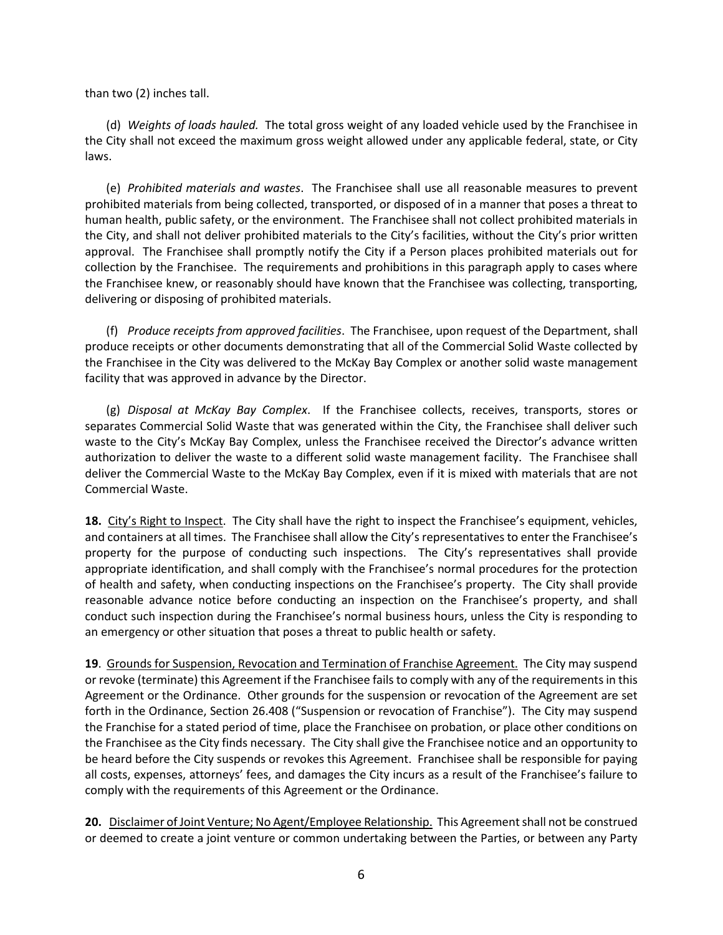than two (2) inches tall.

(d) *Weights of loads hauled.* The total gross weight of any loaded vehicle used by the Franchisee in the City shall not exceed the maximum gross weight allowed under any applicable federal, state, or City laws.

(e) *Prohibited materials and wastes*. The Franchisee shall use all reasonable measures to prevent prohibited materials from being collected, transported, or disposed of in a manner that poses a threat to human health, public safety, or the environment. The Franchisee shall not collect prohibited materials in the City, and shall not deliver prohibited materials to the City's facilities, without the City's prior written approval. The Franchisee shall promptly notify the City if a Person places prohibited materials out for collection by the Franchisee. The requirements and prohibitions in this paragraph apply to cases where the Franchisee knew, or reasonably should have known that the Franchisee was collecting, transporting, delivering or disposing of prohibited materials.

(f) *Produce receipts from approved facilities*. The Franchisee, upon request of the Department, shall produce receipts or other documents demonstrating that all of the Commercial Solid Waste collected by the Franchisee in the City was delivered to the McKay Bay Complex or another solid waste management facility that was approved in advance by the Director.

(g) *Disposal at McKay Bay Complex*. If the Franchisee collects, receives, transports, stores or separates Commercial Solid Waste that was generated within the City, the Franchisee shall deliver such waste to the City's McKay Bay Complex, unless the Franchisee received the Director's advance written authorization to deliver the waste to a different solid waste management facility. The Franchisee shall deliver the Commercial Waste to the McKay Bay Complex, even if it is mixed with materials that are not Commercial Waste.

**18.** City's Right to Inspect. The City shall have the right to inspect the Franchisee's equipment, vehicles, and containers at all times. The Franchisee shall allow the City's representatives to enter the Franchisee's property for the purpose of conducting such inspections. The City's representatives shall provide appropriate identification, and shall comply with the Franchisee's normal procedures for the protection of health and safety, when conducting inspections on the Franchisee's property. The City shall provide reasonable advance notice before conducting an inspection on the Franchisee's property, and shall conduct such inspection during the Franchisee's normal business hours, unless the City is responding to an emergency or other situation that poses a threat to public health or safety.

**19**. Grounds for Suspension, Revocation and Termination of Franchise Agreement. The City may suspend or revoke (terminate) this Agreement if the Franchisee fails to comply with any of the requirements in this Agreement or the Ordinance. Other grounds for the suspension or revocation of the Agreement are set forth in the Ordinance, Section 26.408 ("Suspension or revocation of Franchise"). The City may suspend the Franchise for a stated period of time, place the Franchisee on probation, or place other conditions on the Franchisee as the City finds necessary. The City shall give the Franchisee notice and an opportunity to be heard before the City suspends or revokes this Agreement. Franchisee shall be responsible for paying all costs, expenses, attorneys' fees, and damages the City incurs as a result of the Franchisee's failure to comply with the requirements of this Agreement or the Ordinance.

**20.** Disclaimer of Joint Venture; No Agent/Employee Relationship.This Agreement shall not be construed or deemed to create a joint venture or common undertaking between the Parties, or between any Party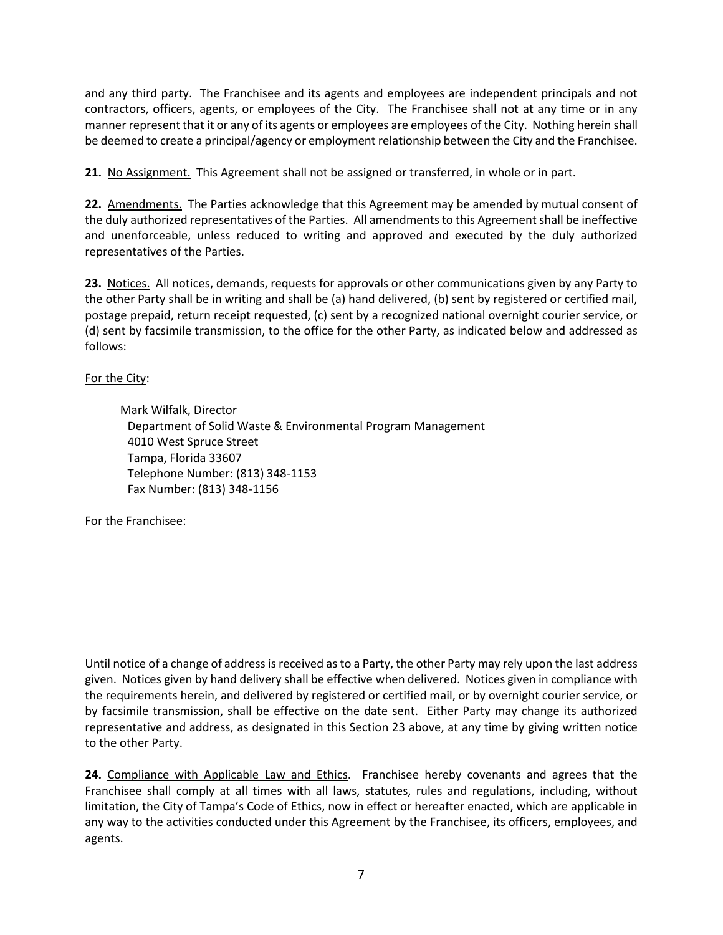and any third party. The Franchisee and its agents and employees are independent principals and not contractors, officers, agents, or employees of the City. The Franchisee shall not at any time or in any manner represent that it or any of its agents or employees are employees of the City. Nothing herein shall be deemed to create a principal/agency or employment relationship between the City and the Franchisee.

**21.** No Assignment. This Agreement shall not be assigned or transferred, in whole or in part.

**22.** Amendments. The Parties acknowledge that this Agreement may be amended by mutual consent of the duly authorized representatives of the Parties. All amendments to this Agreement shall be ineffective and unenforceable, unless reduced to writing and approved and executed by the duly authorized representatives of the Parties.

**23.** Notices. All notices, demands, requests for approvals or other communications given by any Party to the other Party shall be in writing and shall be (a) hand delivered, (b) sent by registered or certified mail, postage prepaid, return receipt requested, (c) sent by a recognized national overnight courier service, or (d) sent by facsimile transmission, to the office for the other Party, as indicated below and addressed as follows:

# For the City:

 Mark Wilfalk, Director Department of Solid Waste & Environmental Program Management 4010 West Spruce Street Tampa, Florida 33607 Telephone Number: (813) 348-1153 Fax Number: (813) 348-1156

# For the Franchisee:

Until notice of a change of address is received as to a Party, the other Party may rely upon the last address given. Notices given by hand delivery shall be effective when delivered. Notices given in compliance with the requirements herein, and delivered by registered or certified mail, or by overnight courier service, or by facsimile transmission, shall be effective on the date sent. Either Party may change its authorized representative and address, as designated in this Section 23 above, at any time by giving written notice to the other Party.

**24.** Compliance with Applicable Law and Ethics. Franchisee hereby covenants and agrees that the Franchisee shall comply at all times with all laws, statutes, rules and regulations, including, without limitation, the City of Tampa's Code of Ethics, now in effect or hereafter enacted, which are applicable in any way to the activities conducted under this Agreement by the Franchisee, its officers, employees, and agents.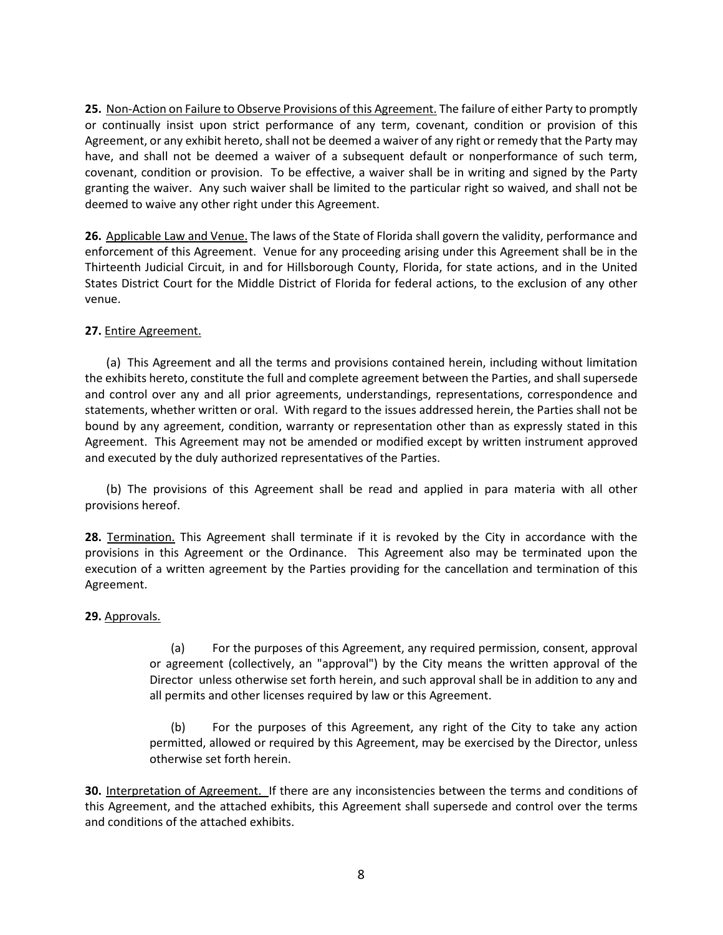**25.** Non-Action on Failure to Observe Provisions of this Agreement. The failure of either Party to promptly or continually insist upon strict performance of any term, covenant, condition or provision of this Agreement, or any exhibit hereto, shall not be deemed a waiver of any right or remedy that the Party may have, and shall not be deemed a waiver of a subsequent default or nonperformance of such term, covenant, condition or provision. To be effective, a waiver shall be in writing and signed by the Party granting the waiver. Any such waiver shall be limited to the particular right so waived, and shall not be deemed to waive any other right under this Agreement.

**26.** Applicable Law and Venue. The laws of the State of Florida shall govern the validity, performance and enforcement of this Agreement. Venue for any proceeding arising under this Agreement shall be in the Thirteenth Judicial Circuit, in and for Hillsborough County, Florida, for state actions, and in the United States District Court for the Middle District of Florida for federal actions, to the exclusion of any other venue.

### **27.** Entire Agreement.

(a) This Agreement and all the terms and provisions contained herein, including without limitation the exhibits hereto, constitute the full and complete agreement between the Parties, and shall supersede and control over any and all prior agreements, understandings, representations, correspondence and statements, whether written or oral. With regard to the issues addressed herein, the Parties shall not be bound by any agreement, condition, warranty or representation other than as expressly stated in this Agreement. This Agreement may not be amended or modified except by written instrument approved and executed by the duly authorized representatives of the Parties.

(b) The provisions of this Agreement shall be read and applied in para materia with all other provisions hereof.

**28.** Termination. This Agreement shall terminate if it is revoked by the City in accordance with the provisions in this Agreement or the Ordinance. This Agreement also may be terminated upon the execution of a written agreement by the Parties providing for the cancellation and termination of this Agreement.

# **29.** Approvals.

(a) For the purposes of this Agreement, any required permission, consent, approval or agreement (collectively, an "approval") by the City means the written approval of the Director unless otherwise set forth herein, and such approval shall be in addition to any and all permits and other licenses required by law or this Agreement.

(b) For the purposes of this Agreement, any right of the City to take any action permitted, allowed or required by this Agreement, may be exercised by the Director, unless otherwise set forth herein.

**30.** Interpretation of Agreement. If there are any inconsistencies between the terms and conditions of this Agreement, and the attached exhibits, this Agreement shall supersede and control over the terms and conditions of the attached exhibits.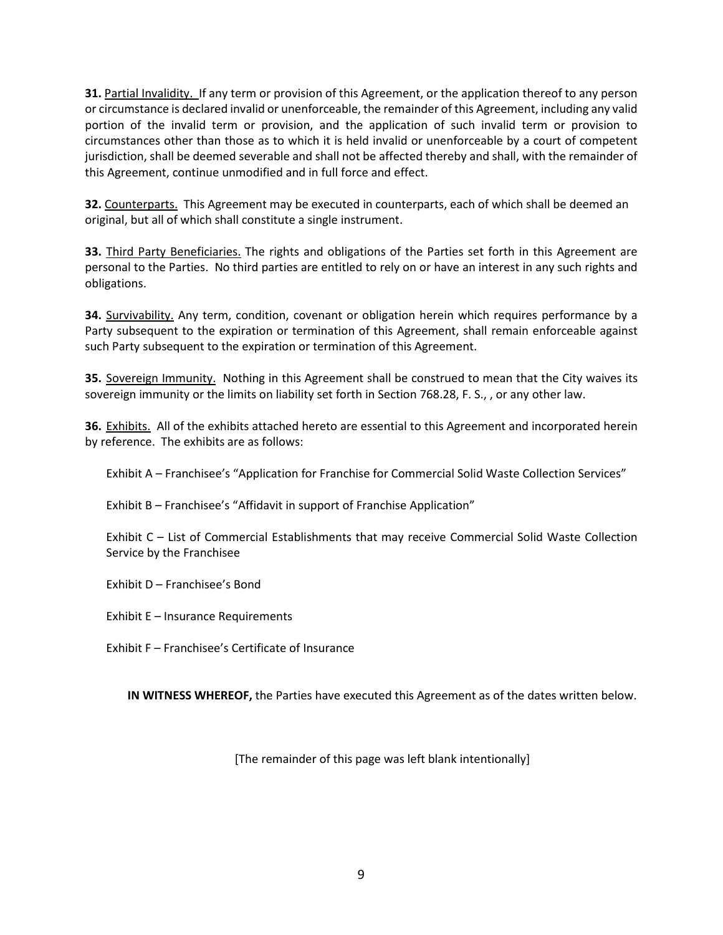**31.** Partial Invalidity. If any term or provision of this Agreement, or the application thereof to any person or circumstance is declared invalid or unenforceable, the remainder of this Agreement, including any valid portion of the invalid term or provision, and the application of such invalid term or provision to circumstances other than those as to which it is held invalid or unenforceable by a court of competent jurisdiction, shall be deemed severable and shall not be affected thereby and shall, with the remainder of this Agreement, continue unmodified and in full force and effect.

**32.** Counterparts. This Agreement may be executed in counterparts, each of which shall be deemed an original, but all of which shall constitute a single instrument.

**33.** Third Party Beneficiaries. The rights and obligations of the Parties set forth in this Agreement are personal to the Parties. No third parties are entitled to rely on or have an interest in any such rights and obligations.

**34.** Survivability. Any term, condition, covenant or obligation herein which requires performance by a Party subsequent to the expiration or termination of this Agreement, shall remain enforceable against such Party subsequent to the expiration or termination of this Agreement.

**35.** Sovereign Immunity. Nothing in this Agreement shall be construed to mean that the City waives its sovereign immunity or the limits on liability set forth in Section 768.28, F. S., , or any other law.

**36.** Exhibits. All of the exhibits attached hereto are essential to this Agreement and incorporated herein by reference. The exhibits are as follows:

Exhibit A – Franchisee's "Application for Franchise for Commercial Solid Waste Collection Services"

Exhibit B – Franchisee's "Affidavit in support of Franchise Application"

Exhibit C – List of Commercial Establishments that may receive Commercial Solid Waste Collection Service by the Franchisee

Exhibit D – Franchisee's Bond

Exhibit E – Insurance Requirements

Exhibit F – Franchisee's Certificate of Insurance

**IN WITNESS WHEREOF,** the Parties have executed this Agreement as of the dates written below.

[The remainder of this page was left blank intentionally]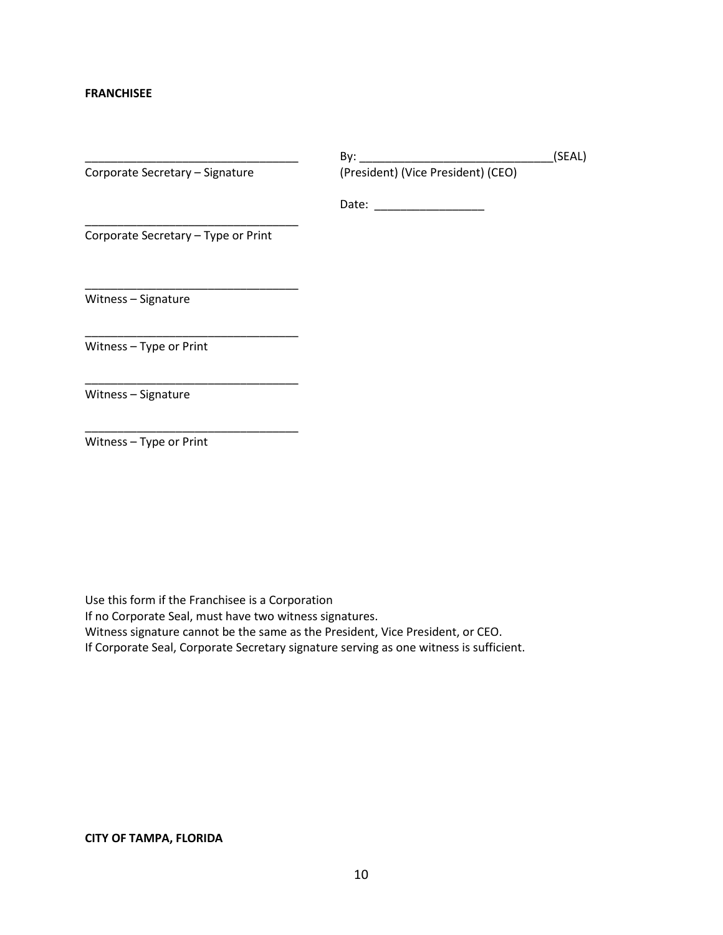#### **FRANCHISEE**

|                                     | By:                                | (SEAL) |
|-------------------------------------|------------------------------------|--------|
| Corporate Secretary - Signature     | (President) (Vice President) (CEO) |        |
|                                     | Date:                              |        |
| Corporate Secretary - Type or Print |                                    |        |
| Witness - Signature                 |                                    |        |
| Witness - Type or Print             |                                    |        |
| Witness - Signature                 |                                    |        |

Witness – Type or Print

\_\_\_\_\_\_\_\_\_\_\_\_\_\_\_\_\_\_\_\_\_\_\_\_\_\_\_\_\_\_\_\_\_

Use this form if the Franchisee is a Corporation

If no Corporate Seal, must have two witness signatures.

Witness signature cannot be the same as the President, Vice President, or CEO.

If Corporate Seal, Corporate Secretary signature serving as one witness is sufficient.

#### **CITY OF TAMPA, FLORIDA**